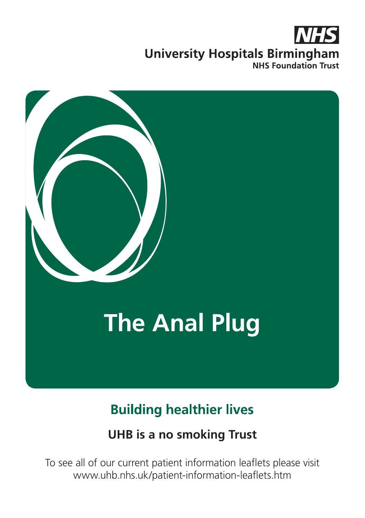# **University Hospitals Birmingham NHS Foundation Trust**



# **Building healthier lives**

#### **UHB is a no smoking Trust**

To see all of our current patient information leaflets please visit www.uhb.nhs.uk/patient-information-leaflets.htm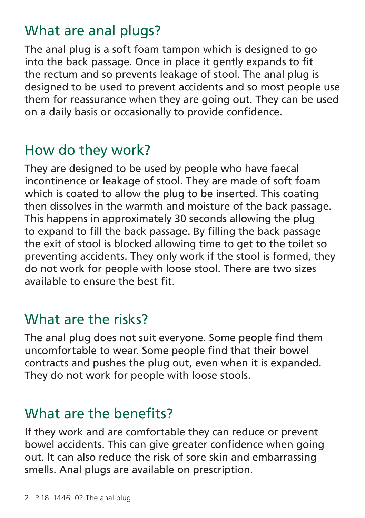## What are anal plugs?

The anal plug is a soft foam tampon which is designed to go into the back passage. Once in place it gently expands to fit the rectum and so prevents leakage of stool. The anal plug is designed to be used to prevent accidents and so most people use them for reassurance when they are going out. They can be used on a daily basis or occasionally to provide confidence.

## How do they work?

They are designed to be used by people who have faecal incontinence or leakage of stool. They are made of soft foam which is coated to allow the plug to be inserted. This coating then dissolves in the warmth and moisture of the back passage. This happens in approximately 30 seconds allowing the plug to expand to fill the back passage. By filling the back passage the exit of stool is blocked allowing time to get to the toilet so preventing accidents. They only work if the stool is formed, they do not work for people with loose stool. There are two sizes available to ensure the best fit.

#### What are the risks?

The anal plug does not suit everyone. Some people find them uncomfortable to wear. Some people find that their bowel contracts and pushes the plug out, even when it is expanded. They do not work for people with loose stools.

## What are the benefits?

If they work and are comfortable they can reduce or prevent bowel accidents. This can give greater confidence when going out. It can also reduce the risk of sore skin and embarrassing smells. Anal plugs are available on prescription.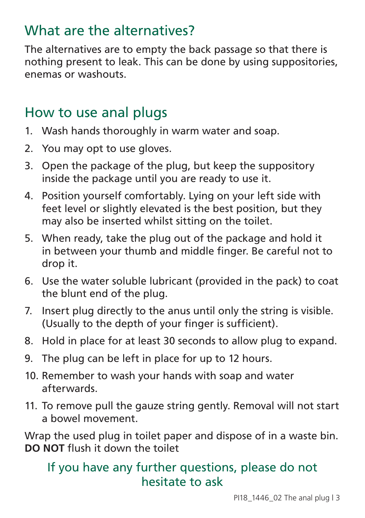# What are the alternatives?

The alternatives are to empty the back passage so that there is nothing present to leak. This can be done by using suppositories, enemas or washouts.

## How to use anal plugs

- 1. Wash hands thoroughly in warm water and soap.
- 2. You may opt to use gloves.
- 3. Open the package of the plug, but keep the suppository inside the package until you are ready to use it.
- 4. Position yourself comfortably. Lying on your left side with feet level or slightly elevated is the best position, but they may also be inserted whilst sitting on the toilet.
- 5. When ready, take the plug out of the package and hold it in between your thumb and middle finger. Be careful not to drop it.
- 6. Use the water soluble lubricant (provided in the pack) to coat the blunt end of the plug.
- 7. Insert plug directly to the anus until only the string is visible. (Usually to the depth of your finger is sufficient).
- 8. Hold in place for at least 30 seconds to allow plug to expand.
- 9. The plug can be left in place for up to 12 hours.
- 10. Remember to wash your hands with soap and water afterwards.
- 11. To remove pull the gauze string gently. Removal will not start a bowel movement.

Wrap the used plug in toilet paper and dispose of in a waste bin. **DO NOT** flush it down the toilet

#### If you have any further questions, please do not hesitate to ask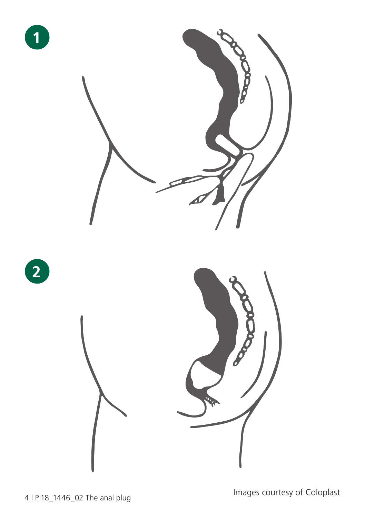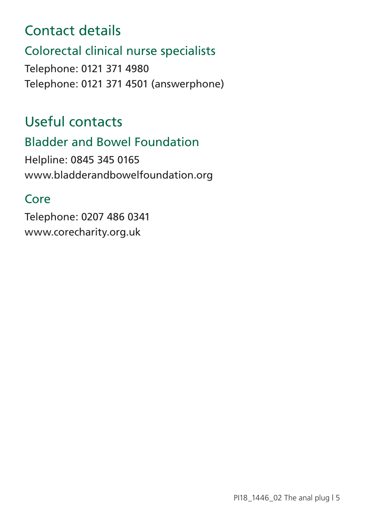## Contact details

#### Colorectal clinical nurse specialists

Telephone: 0121 371 4980 Telephone: 0121 371 4501 (answerphone)

# Useful contacts

#### Bladder and Bowel Foundation

Helpline: 0845 345 0165 www.bladderandbowelfoundation.org

#### Core

Telephone: 0207 486 0341 www.corecharity.org.uk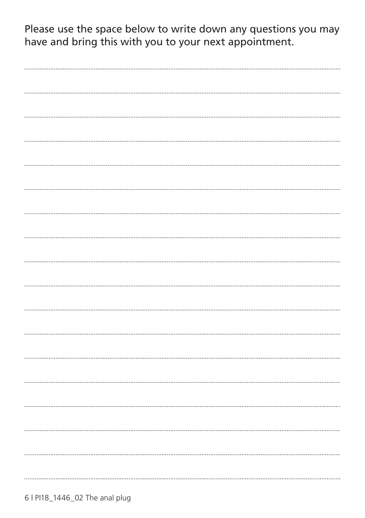Please use the space below to write down any questions you may have and bring this with you to your next appointment.